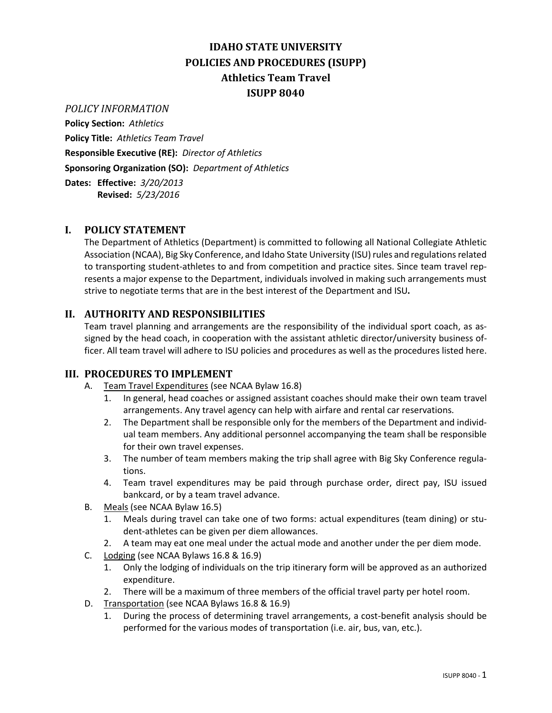# **IDAHO STATE UNIVERSITY POLICIES AND PROCEDURES (ISUPP) Athletics Team Travel ISUPP 8040**

#### *POLICY INFORMATION*

**Policy Section:** *Athletics* **Policy Title:** *Athletics Team Travel* **Responsible Executive (RE):** *Director of Athletics* **Sponsoring Organization (SO):** *Department of Athletics* **Dates: Effective:** *3/20/2013*

**Revised:** *5/23/2016*

## **I. POLICY STATEMENT**

The Department of Athletics (Department) is committed to following all National Collegiate Athletic Association (NCAA), Big Sky Conference, and Idaho State University (ISU) rules and regulations related to transporting student-athletes to and from competition and practice sites. Since team travel represents a major expense to the Department, individuals involved in making such arrangements must strive to negotiate terms that are in the best interest of the Department and ISU**.**

## **II. AUTHORITY AND RESPONSIBILITIES**

Team travel planning and arrangements are the responsibility of the individual sport coach, as assigned by the head coach, in cooperation with the assistant athletic director/university business officer. All team travel will adhere to ISU policies and procedures as well as the procedures listed here.

#### **III. PROCEDURES TO IMPLEMENT**

- A. Team Travel Expenditures (see NCAA Bylaw 16.8)
	- 1. In general, head coaches or assigned assistant coaches should make their own team travel arrangements. Any travel agency can help with airfare and rental car reservations.
	- 2. The Department shall be responsible only for the members of the Department and individual team members. Any additional personnel accompanying the team shall be responsible for their own travel expenses.
	- 3. The number of team members making the trip shall agree with Big Sky Conference regulations.
	- 4. Team travel expenditures may be paid through purchase order, direct pay, ISU issued bankcard, or by a team travel advance.
- B. Meals (see NCAA Bylaw 16.5)
	- 1. Meals during travel can take one of two forms: actual expenditures (team dining) or student-athletes can be given per diem allowances.
	- 2. A team may eat one meal under the actual mode and another under the per diem mode.
- C. Lodging (see NCAA Bylaws 16.8 & 16.9)
	- 1. Only the lodging of individuals on the trip itinerary form will be approved as an authorized expenditure.
	- 2. There will be a maximum of three members of the official travel party per hotel room.
- D. Transportation (see NCAA Bylaws 16.8 & 16.9)
	- 1. During the process of determining travel arrangements, a cost-benefit analysis should be performed for the various modes of transportation (i.e. air, bus, van, etc.).